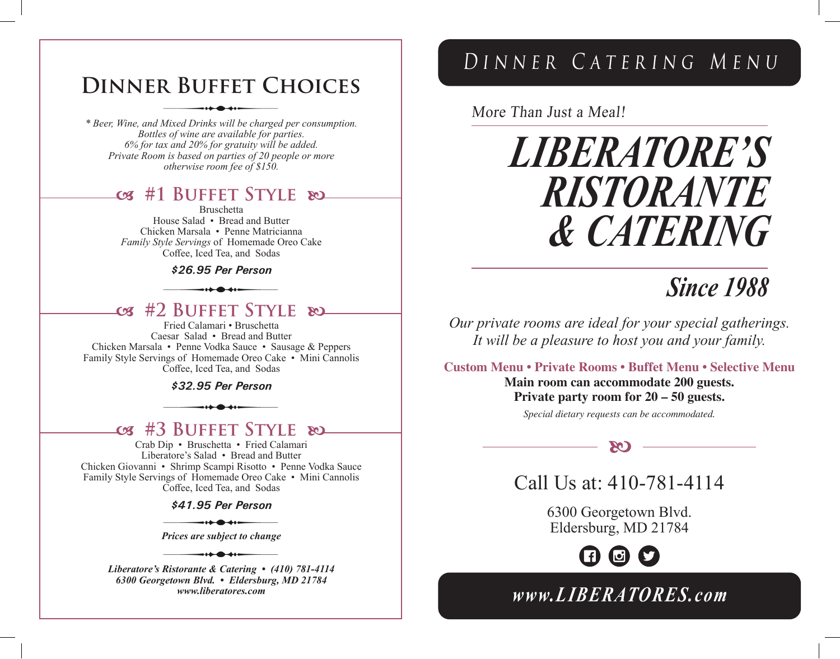## **Dinner Buffet Choices**

*\* Beer, Wine, and Mixed Drinks will be charged per consumption. Bottles of wine are available for parties. 6% for tax and 20% for gratuity will be added. Private Room is based on parties of 20 people or more otherwise room fee of \$150.*

### **#1 Buffet Style**

Bruschetta House Salad • Bread and Butter Chicken Marsala • Penne Matricianna *Family Style Servings* of Homemade Oreo Cake

Coffee, Iced Tea, and Sodas

#### *\$26.95 Per Person*

**#2 Buffet Style** 

Fried Calamari • Bruschetta Caesar Salad • Bread and Butter Chicken Marsala • Penne Vodka Sauce • Sausage & Peppers Family Style Servings of Homemade Oreo Cake • Mini Cannolis Coffee, Iced Tea, and Sodas

*\$32.95 Per Person*

### **#3 Buffet Style**

Crab Dip • Bruschetta • Fried Calamari Liberatore's Salad • Bread and Butter Chicken Giovanni • Shrimp Scampi Risotto • Penne Vodka Sauce Family Style Servings of Homemade Oreo Cake • Mini Cannolis Coffee, Iced Tea, and Sodas

*\$41.95 Per Person*

 $\leftrightarrow$   $\bullet$   $\leftrightarrow$   $\leftarrow$ *Prices are subject to change*

-1<del>1 - 11 - 1</del>

*Liberatore's Ristorante & Catering • (410) 781-4114 6300 Georgetown Blvd. • Eldersburg, MD 21784 www.liberatores.com*

## Dinner Catering Menu

More Than Just a Meal!

# *LIBERATORE'S RISTORANTE & CATERING*

## *Since 1988*

*Our private rooms are ideal for your special gatherings. It will be a pleasure to host you and your family.*

**Custom Menu • Private Rooms • Buffet Menu • Selective Menu**

**Main room can accommodate 200 guests. Private party room for 20 – 50 guests.**

*Special dietary requests can be accommodated.*

 $\infty$ 



6300 Georgetown Blvd. Eldersburg, MD 21784

> [F)  $\mathbf{E}$

*www.LIBERATORES.com*